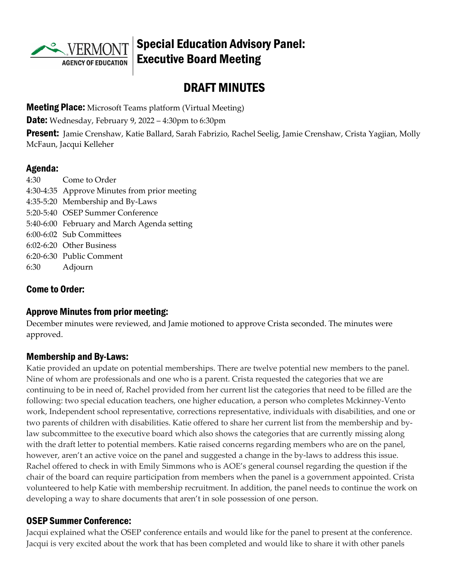

## Special Education Advisory Panel: Executive Board Meeting

# DRAFT MINUTES

**Meeting Place:** Microsoft Teams platform (Virtual Meeting)

**Date:** Wednesday, February 9, 2022 – 4:30pm to 6:30pm

**Present:** Jamie Crenshaw, Katie Ballard, Sarah Fabrizio, Rachel Seelig, Jamie Crenshaw, Crista Yagjian, Molly McFaun, Jacqui Kelleher

#### Agenda:

4:30 Come to Order 4:30-4:35 Approve Minutes from prior meeting 4:35-5:20 Membership and By-Laws 5:20-5:40 OSEP Summer Conference 5:40-6:00 February and March Agenda setting 6:00-6:02 Sub Committees 6:02-6:20 Other Business 6:20-6:30 Public Comment 6:30 Adjourn

### Come to Order:

#### Approve Minutes from prior meeting:

December minutes were reviewed, and Jamie motioned to approve Crista seconded. The minutes were approved.

#### Membership and By-Laws:

Katie provided an update on potential memberships. There are twelve potential new members to the panel. Nine of whom are professionals and one who is a parent. Crista requested the categories that we are continuing to be in need of, Rachel provided from her current list the categories that need to be filled are the following: two special education teachers, one higher education, a person who completes Mckinney-Vento work, Independent school representative, corrections representative, individuals with disabilities, and one or two parents of children with disabilities. Katie offered to share her current list from the membership and bylaw subcommittee to the executive board which also shows the categories that are currently missing along with the draft letter to potential members. Katie raised concerns regarding members who are on the panel, however, aren't an active voice on the panel and suggested a change in the by-laws to address this issue. Rachel offered to check in with Emily Simmons who is AOE's general counsel regarding the question if the chair of the board can require participation from members when the panel is a government appointed. Crista volunteered to help Katie with membership recruitment. In addition, the panel needs to continue the work on developing a way to share documents that aren't in sole possession of one person.

#### OSEP Summer Conference:

Jacqui explained what the OSEP conference entails and would like for the panel to present at the conference. Jacqui is very excited about the work that has been completed and would like to share it with other panels